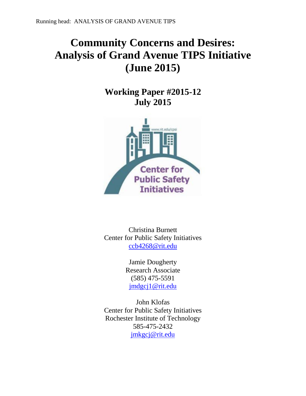# **Community Concerns and Desires: Analysis of Grand Avenue TIPS Initiative (June 2015)**

**Working Paper #2015-12 July 2015**



Christina Burnett Center for Public Safety Initiatives [ccb4268@rit.edu](mailto:ccb4268@rit.edu)

> Jamie Dougherty Research Associate (585) 475-5591 [jmdgcj1@rit.edu](mailto:jmdgcj1@rit.edu)

John Klofas Center for Public Safety Initiatives Rochester Institute of Technology 585-475-2432 [jmkgcj@rit.edu](mailto:jmkgcj@rit.edu)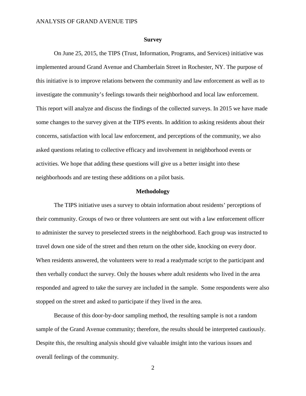#### **Survey**

On June 25, 2015, the TIPS (Trust, Information, Programs, and Services) initiative was implemented around Grand Avenue and Chamberlain Street in Rochester, NY. The purpose of this initiative is to improve relations between the community and law enforcement as well as to investigate the community's feelings towards their neighborhood and local law enforcement. This report will analyze and discuss the findings of the collected surveys. In 2015 we have made some changes to the survey given at the TIPS events. In addition to asking residents about their concerns, satisfaction with local law enforcement, and perceptions of the community, we also asked questions relating to collective efficacy and involvement in neighborhood events or activities. We hope that adding these questions will give us a better insight into these neighborhoods and are testing these additions on a pilot basis.

#### **Methodology**

The TIPS initiative uses a survey to obtain information about residents' perceptions of their community. Groups of two or three volunteers are sent out with a law enforcement officer to administer the survey to preselected streets in the neighborhood. Each group was instructed to travel down one side of the street and then return on the other side, knocking on every door. When residents answered, the volunteers were to read a readymade script to the participant and then verbally conduct the survey. Only the houses where adult residents who lived in the area responded and agreed to take the survey are included in the sample. Some respondents were also stopped on the street and asked to participate if they lived in the area.

Because of this door-by-door sampling method, the resulting sample is not a random sample of the Grand Avenue community; therefore, the results should be interpreted cautiously. Despite this, the resulting analysis should give valuable insight into the various issues and overall feelings of the community.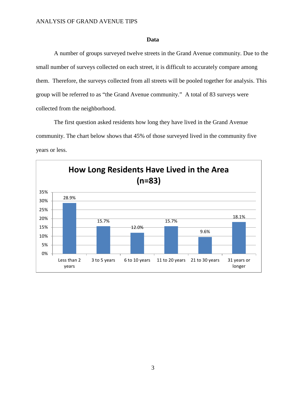# **Data**

A number of groups surveyed twelve streets in the Grand Avenue community. Due to the small number of surveys collected on each street, it is difficult to accurately compare among them. Therefore, the surveys collected from all streets will be pooled together for analysis. This group will be referred to as "the Grand Avenue community." A total of 83 surveys were collected from the neighborhood.

The first question asked residents how long they have lived in the Grand Avenue community. The chart below shows that 45% of those surveyed lived in the community five years or less.

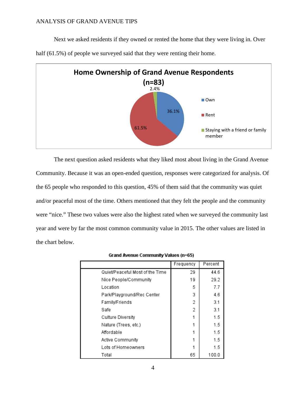Next we asked residents if they owned or rented the home that they were living in. Over



half (61.5%) of people we surveyed said that they were renting their home.

The next question asked residents what they liked most about living in the Grand Avenue Community. Because it was an open-ended question, responses were categorized for analysis. Of the 65 people who responded to this question, 45% of them said that the community was quiet and/or peaceful most of the time. Others mentioned that they felt the people and the community were "nice." These two values were also the highest rated when we surveyed the community last year and were by far the most common community value in 2015. The other values are listed in the chart below.

|                                 | Frequency | Percent |
|---------------------------------|-----------|---------|
| Quiet/Peaceful Most of the Time | 29        | 44.6    |
| Nice People/Community           | 19        | 29.2    |
| Location                        | 5         | 7.7     |
| Park/Playground/Rec Center      | 3         | 4.6     |
| Family/Friends                  | 2         | 3.1     |
| Safe                            | 2         | 3.1     |
| Culture Diversity               |           | 1.5     |
| Nature (Trees, etc.)            |           | 1.5     |
| Affordable                      |           | 1.5     |
| Active Community                |           | 1.5     |
| Lots of Homeowners              |           | 1.5     |
| Total                           | 65        | 100.0   |

Grand Avenue Community Values (n=65)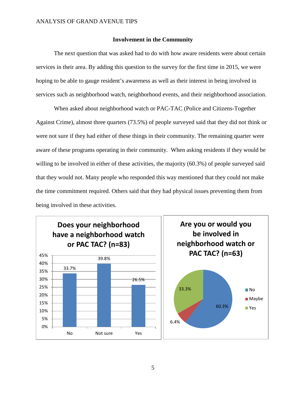## **Involvement in the Community**

The next question that was asked had to do with how aware residents were about certain services in their area. By adding this question to the survey for the first time in 2015, we were hoping to be able to gauge resident's awareness as well as their interest in being involved in services such as neighborhood watch, neighborhood events, and their neighborhood association.

When asked about neighborhood watch or PAC-TAC (Police and Citizens-Together Against Crime), almost three quarters (73.5%) of people surveyed said that they did not think or were not sure if they had either of these things in their community. The remaining quarter were aware of these programs operating in their community. When asking residents if they would be willing to be involved in either of these activities, the majority (60.3%) of people surveyed said that they would not. Many people who responded this way mentioned that they could not make the time commitment required. Others said that they had physical issues preventing them from being involved in these activities.

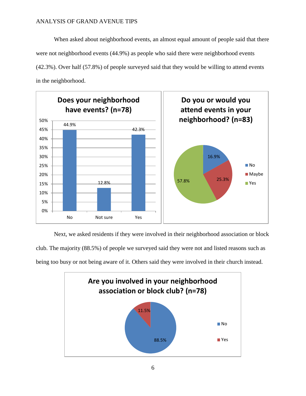When asked about neighborhood events, an almost equal amount of people said that there were not neighborhood events (44.9%) as people who said there were neighborhood events (42.3%). Over half (57.8%) of people surveyed said that they would be willing to attend events in the neighborhood.



Next, we asked residents if they were involved in their neighborhood association or block club. The majority (88.5%) of people we surveyed said they were not and listed reasons such as being too busy or not being aware of it. Others said they were involved in their church instead.

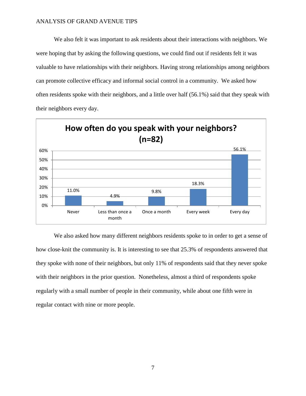We also felt it was important to ask residents about their interactions with neighbors. We were hoping that by asking the following questions, we could find out if residents felt it was valuable to have relationships with their neighbors. Having strong relationships among neighbors can promote collective efficacy and informal social control in a community. We asked how often residents spoke with their neighbors, and a little over half (56.1%) said that they speak with their neighbors every day.



We also asked how many different neighbors residents spoke to in order to get a sense of how close-knit the community is. It is interesting to see that 25.3% of respondents answered that they spoke with none of their neighbors, but only 11% of respondents said that they never spoke with their neighbors in the prior question. Nonetheless, almost a third of respondents spoke regularly with a small number of people in their community, while about one fifth were in regular contact with nine or more people.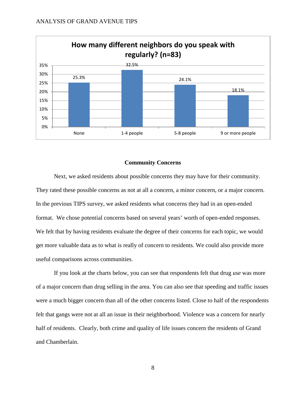

# **Community Concerns**

Next, we asked residents about possible concerns they may have for their community. They rated these possible concerns as not at all a concern, a minor concern, or a major concern. In the previous TIPS survey, we asked residents what concerns they had in an open-ended format. We chose potential concerns based on several years' worth of open-ended responses. We felt that by having residents evaluate the degree of their concerns for each topic, we would get more valuable data as to what is really of concern to residents. We could also provide more useful comparisons across communities.

If you look at the charts below, you can see that respondents felt that drug *use* was more of a major concern than drug selling in the area. You can also see that speeding and traffic issues were a much bigger concern than all of the other concerns listed. Close to half of the respondents felt that gangs were not at all an issue in their neighborhood. Violence was a concern for nearly half of residents. Clearly, both crime and quality of life issues concern the residents of Grand and Chamberlain.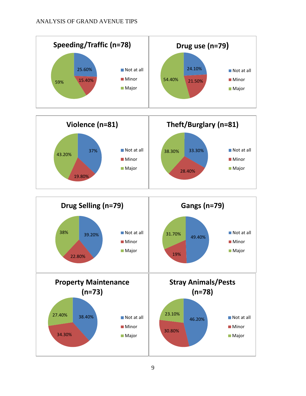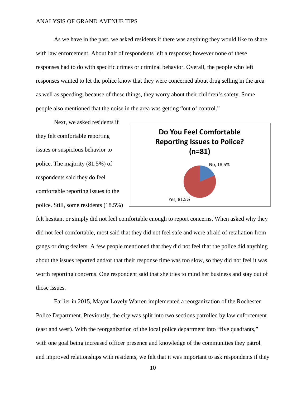As we have in the past, we asked residents if there was anything they would like to share with law enforcement. About half of respondents left a response; however none of these responses had to do with specific crimes or criminal behavior. Overall, the people who left responses wanted to let the police know that they were concerned about drug selling in the area as well as speeding; because of these things, they worry about their children's safety. Some people also mentioned that the noise in the area was getting "out of control."

Next, we asked residents if they felt comfortable reporting issues or suspicious behavior to police. The majority (81.5%) of respondents said they do feel comfortable reporting issues to the police. Still, some residents (18.5%)



felt hesitant or simply did not feel comfortable enough to report concerns. When asked why they did not feel comfortable, most said that they did not feel safe and were afraid of retaliation from gangs or drug dealers. A few people mentioned that they did not feel that the police did anything about the issues reported and/or that their response time was too slow, so they did not feel it was worth reporting concerns. One respondent said that she tries to mind her business and stay out of those issues.

Earlier in 2015, Mayor Lovely Warren implemented a reorganization of the Rochester Police Department. Previously, the city was split into two sections patrolled by law enforcement (east and west). With the reorganization of the local police department into "five quadrants," with one goal being increased officer presence and knowledge of the communities they patrol and improved relationships with residents, we felt that it was important to ask respondents if they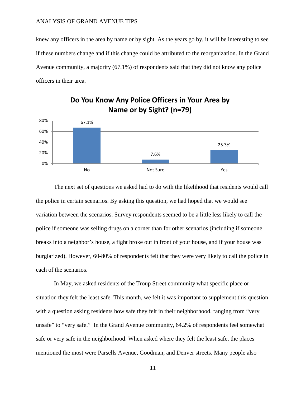knew any officers in the area by name or by sight. As the years go by, it will be interesting to see if these numbers change and if this change could be attributed to the reorganization. In the Grand Avenue community, a majority (67.1%) of respondents said that they did not know any police officers in their area.



The next set of questions we asked had to do with the likelihood that residents would call the police in certain scenarios. By asking this question, we had hoped that we would see variation between the scenarios. Survey respondents seemed to be a little less likely to call the police if someone was selling drugs on a corner than for other scenarios (including if someone breaks into a neighbor's house, a fight broke out in front of your house, and if your house was burglarized). However, 60-80% of respondents felt that they were very likely to call the police in each of the scenarios.

In May, we asked residents of the Troup Street community what specific place or situation they felt the least safe. This month, we felt it was important to supplement this question with a question asking residents how safe they felt in their neighborhood, ranging from "very" unsafe" to "very safe." In the Grand Avenue community, 64.2% of respondents feel somewhat safe or very safe in the neighborhood. When asked where they felt the least safe, the places mentioned the most were Parsells Avenue, Goodman, and Denver streets. Many people also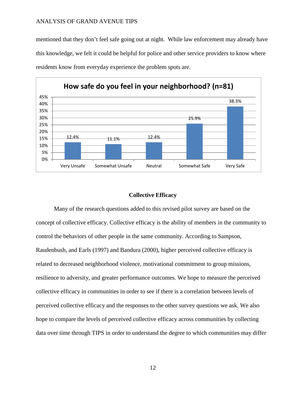mentioned that they don't feel safe going out at night. While law enforcement may already have this knowledge, we felt it could be helpful for police and other service providers to know where residents know from everyday experience the problem spots are.



## **Collective Efficacy**

Many of the research questions added to this revised pilot survey are based on the concept of collective efficacy. Collective efficacy is the ability of members in the community to control the behaviors of other people in the same community. According to Sampson, Raudenbush, and Earls (1997) and Bandura (2000), higher perceived collective efficacy is related to decreased neighborhood violence, motivational commitment to group missions, resilience to adversity, and greater performance outcomes. We hope to measure the perceived collective efficacy in communities in order to see if there is a correlation between levels of perceived collective efficacy and the responses to the other survey questions we ask. We also hope to compare the levels of perceived collective efficacy across communities by collecting data over time through TIPS in order to understand the degree to which communities may differ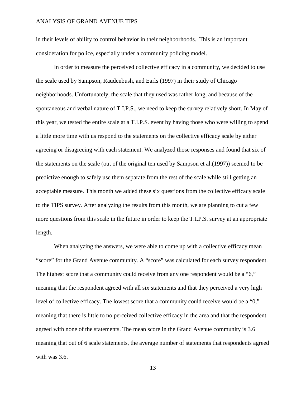in their levels of ability to control behavior in their neighborhoods. This is an important consideration for police, especially under a community policing model.

In order to measure the perceived collective efficacy in a community, we decided to use the scale used by Sampson, Raudenbush, and Earls (1997) in their study of Chicago neighborhoods. Unfortunately, the scale that they used was rather long, and because of the spontaneous and verbal nature of T.I.P.S., we need to keep the survey relatively short. In May of this year, we tested the entire scale at a T.I.P.S. event by having those who were willing to spend a little more time with us respond to the statements on the collective efficacy scale by either agreeing or disagreeing with each statement. We analyzed those responses and found that six of the statements on the scale (out of the original ten used by Sampson et al.(1997)) seemed to be predictive enough to safely use them separate from the rest of the scale while still getting an acceptable measure. This month we added these six questions from the collective efficacy scale to the TIPS survey. After analyzing the results from this month, we are planning to cut a few more questions from this scale in the future in order to keep the T.I.P.S. survey at an appropriate length.

When analyzing the answers, we were able to come up with a collective efficacy mean "score" for the Grand Avenue community. A "score" was calculated for each survey respondent. The highest score that a community could receive from any one respondent would be a "6," meaning that the respondent agreed with all six statements and that they perceived a very high level of collective efficacy. The lowest score that a community could receive would be a "0," meaning that there is little to no perceived collective efficacy in the area and that the respondent agreed with none of the statements. The mean score in the Grand Avenue community is 3.6 meaning that out of 6 scale statements, the average number of statements that respondents agreed with was 3.6.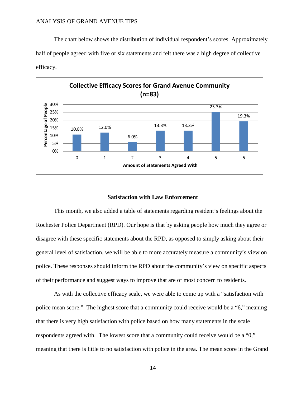The chart below shows the distribution of individual respondent's scores. Approximately half of people agreed with five or six statements and felt there was a high degree of collective efficacy.



## **Satisfaction with Law Enforcement**

This month, we also added a table of statements regarding resident's feelings about the Rochester Police Department (RPD). Our hope is that by asking people how much they agree or disagree with these specific statements about the RPD, as opposed to simply asking about their general level of satisfaction, we will be able to more accurately measure a community's view on police. These responses should inform the RPD about the community's view on specific aspects of their performance and suggest ways to improve that are of most concern to residents.

As with the collective efficacy scale, we were able to come up with a "satisfaction with police mean score." The highest score that a community could receive would be a "6," meaning that there is very high satisfaction with police based on how many statements in the scale respondents agreed with. The lowest score that a community could receive would be a "0," meaning that there is little to no satisfaction with police in the area. The mean score in the Grand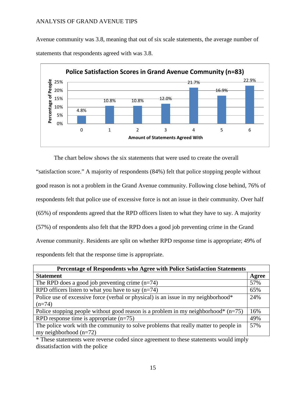Avenue community was 3.8, meaning that out of six scale statements, the average number of statements that respondents agreed with was 3.8.



The chart below shows the six statements that were used to create the overall

"satisfaction score." A majority of respondents (84%) felt that police stopping people without good reason is not a problem in the Grand Avenue community. Following close behind, 76% of respondents felt that police use of excessive force is not an issue in their community. Over half (65%) of respondents agreed that the RPD officers listen to what they have to say. A majority (57%) of respondents also felt that the RPD does a good job preventing crime in the Grand Avenue community. Residents are split on whether RPD response time is appropriate; 49% of respondents felt that the response time is appropriate.

| Percentage of Respondents who Agree with Police Satisfaction Statements              |       |  |
|--------------------------------------------------------------------------------------|-------|--|
| <b>Statement</b>                                                                     | Agree |  |
| The RPD does a good job preventing crime $(n=74)$                                    | 57%   |  |
| RPD officers listen to what you have to say $(n=74)$                                 | 65%   |  |
| Police use of excessive force (verbal or physical) is an issue in my neighborhood*   | 24%   |  |
| $(n=74)$                                                                             |       |  |
| Police stopping people without good reason is a problem in my neighborhood* $(n=75)$ | 16%   |  |
| RPD response time is appropriate $(n=75)$                                            | 49%   |  |
| The police work with the community to solve problems that really matter to people in | 57%   |  |
| my neighborhood $(n=72)$                                                             |       |  |

\* These statements were reverse coded since agreement to these statements would imply dissatisfaction with the police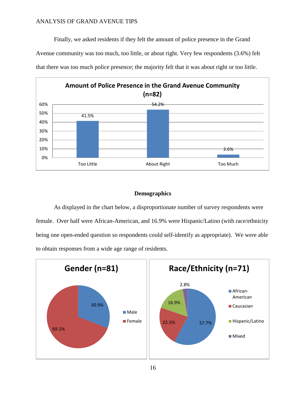Finally, we asked residents if they felt the amount of police presence in the Grand Avenue community was too much, too little, or about right. Very few respondents (3.6%) felt that there was too much police presence; the majority felt that it was about right or too little.



# **Demographics**

As displayed in the chart below, a disproportionate number of survey respondents were female. Over half were African-American, and 16.9% were Hispanic/Latino (with race/ethnicity being one open-ended question so respondents could self-identify as appropriate). We were able to obtain responses from a wide age range of residents.

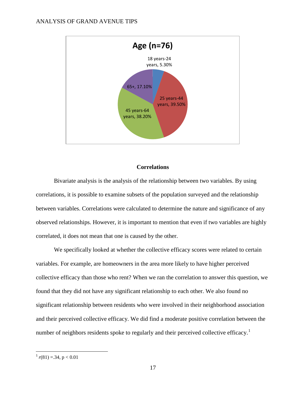

## **Correlations**

Bivariate analysis is the analysis of the relationship between two variables. By using correlations, it is possible to examine subsets of the population surveyed and the relationship between variables. Correlations were calculated to determine the nature and significance of any observed relationships. However, it is important to mention that even if two variables are highly correlated, it does not mean that one is caused by the other.

We specifically looked at whether the collective efficacy scores were related to certain variables. For example, are homeowners in the area more likely to have higher perceived collective efficacy than those who rent? When we ran the correlation to answer this question, we found that they did not have any significant relationship to each other. We also found no significant relationship between residents who were involved in their neighborhood association and their perceived collective efficacy. We did find a moderate positive correlation between the number of neighbors residents spoke to regularly and their perceived collective efficacy.<sup>[1](#page-16-0)</sup>

<span id="page-16-0"></span> $1 \cdot r(81) = 34, p < 0.01$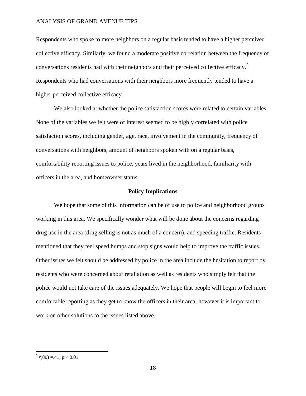Respondents who spoke to more neighbors on a regular basis tended to have a higher perceived collective efficacy. Similarly, we found a moderate positive correlation between the frequency of conversations residents had with their neighbors and their perceived collective efficacy.[2](#page-17-0) Respondents who had conversations with their neighbors more frequently tended to have a higher perceived collective efficacy.

We also looked at whether the police satisfaction scores were related to certain variables. None of the variables we felt were of interest seemed to be highly correlated with police satisfaction scores, including gender, age, race, involvement in the community, frequency of conversations with neighbors, amount of neighbors spoken with on a regular basis, comfortability reporting issues to police, years lived in the neighborhood, familiarity with officers in the area, and homeowner status.

## **Policy Implications**

We hope that some of this information can be of use to police and neighborhood groups working in this area. We specifically wonder what will be done about the concerns regarding drug use in the area (drug selling is not as much of a concern), and speeding traffic. Residents mentioned that they feel speed bumps and stop signs would help to improve the traffic issues. Other issues we felt should be addressed by police in the area include the hesitation to report by residents who were concerned about retaliation as well as residents who simply felt that the police would not take care of the issues adequately. We hope that people will begin to feel more comfortable reporting as they get to know the officers in their area; however it is important to work on other solutions to the issues listed above.

<span id="page-17-0"></span> $x^2 r(80) = 0.41, p < 0.01$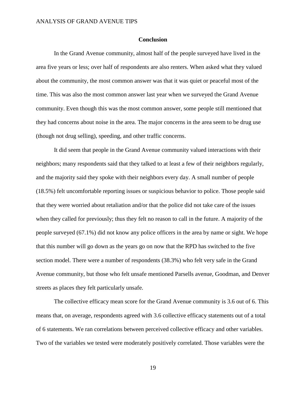## **Conclusion**

In the Grand Avenue community, almost half of the people surveyed have lived in the area five years or less; over half of respondents are also renters. When asked what they valued about the community, the most common answer was that it was quiet or peaceful most of the time. This was also the most common answer last year when we surveyed the Grand Avenue community. Even though this was the most common answer, some people still mentioned that they had concerns about noise in the area. The major concerns in the area seem to be drug use (though not drug selling), speeding, and other traffic concerns.

It did seem that people in the Grand Avenue community valued interactions with their neighbors; many respondents said that they talked to at least a few of their neighbors regularly, and the majority said they spoke with their neighbors every day. A small number of people (18.5%) felt uncomfortable reporting issues or suspicious behavior to police. Those people said that they were worried about retaliation and/or that the police did not take care of the issues when they called for previously; thus they felt no reason to call in the future. A majority of the people surveyed (67.1%) did not know any police officers in the area by name or sight. We hope that this number will go down as the years go on now that the RPD has switched to the five section model. There were a number of respondents (38.3%) who felt very safe in the Grand Avenue community, but those who felt unsafe mentioned Parsells avenue, Goodman, and Denver streets as places they felt particularly unsafe.

The collective efficacy mean score for the Grand Avenue community is 3.6 out of 6. This means that, on average, respondents agreed with 3.6 collective efficacy statements out of a total of 6 statements. We ran correlations between perceived collective efficacy and other variables. Two of the variables we tested were moderately positively correlated. Those variables were the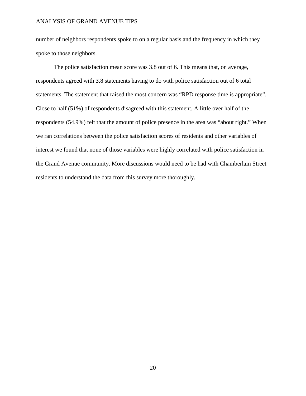number of neighbors respondents spoke to on a regular basis and the frequency in which they spoke to those neighbors.

The police satisfaction mean score was 3.8 out of 6. This means that, on average, respondents agreed with 3.8 statements having to do with police satisfaction out of 6 total statements. The statement that raised the most concern was "RPD response time is appropriate". Close to half (51%) of respondents disagreed with this statement. A little over half of the respondents (54.9%) felt that the amount of police presence in the area was "about right." When we ran correlations between the police satisfaction scores of residents and other variables of interest we found that none of those variables were highly correlated with police satisfaction in the Grand Avenue community. More discussions would need to be had with Chamberlain Street residents to understand the data from this survey more thoroughly.